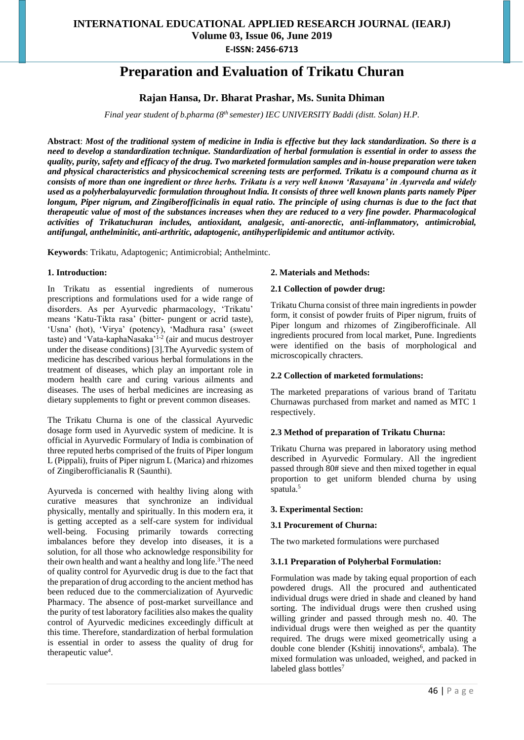# **Preparation and Evaluation of Trikatu Churan**

# **Rajan Hansa, Dr. Bharat Prashar, Ms. Sunita Dhiman**

*Final year student of b.pharma (8th semester) IEC UNIVERSITY Baddi (distt. Solan) H.P.*

**Abstract**: *Most of the traditional system of medicine in India is effective but they lack standardization. So there is a need to develop a standardization technique. Standardization of herbal formulation is essential in order to assess the quality, purity, safety and efficacy of the drug. Two marketed formulation samples and in-house preparation were taken and physical characteristics and physicochemical screening tests are performed. Trikatu is a compound churna as it consists of more than one ingredient or three herbs. Trikatu is a very well known 'Rasayana' in Ayurveda and widely used as a polyherbalayurvedic formulation throughout India. It consists of three well known plants parts namely Piper longum, Piper nigrum, and Zingiberofficinalis in equal ratio. The principle of using churnas is due to the fact that therapeutic value of most of the substances increases when they are reduced to a very fine powder. Pharmacological activities of Trikatuchuran includes, antioxidant, analgesic, anti-anorectic, anti-inflammatory, antimicrobial, antifungal, anthelminitic, anti-arthritic, adaptogenic, antihyperlipidemic and antitumor activity.*

**Keywords**: Trikatu, Adaptogenic; Antimicrobial; Anthelmintc.

#### **1. Introduction:**

In Trikatu as essential ingredients of numerous prescriptions and formulations used for a wide range of disorders. As per Ayurvedic pharmacology, 'Trikatu' means 'Katu-Tikta rasa' (bitter- pungent or acrid taste), 'Usna' (hot), 'Virya' (potency), 'Madhura rasa' (sweet taste) and 'Vata-kaphaNasaka'<sup>1-2</sup> (air and mucus destroyer under the disease conditions) [3].The Ayurvedic system of medicine has described various herbal formulations in the treatment of diseases, which play an important role in modern health care and curing various ailments and diseases. The uses of herbal medicines are increasing as dietary supplements to fight or prevent common diseases.

The Trikatu Churna is one of the classical Ayurvedic dosage form used in Ayurvedic system of medicine. It is official in Ayurvedic Formulary of India is combination of three reputed herbs comprised of the fruits of Piper longum L (Pippali), fruits of Piper nigrum L (Marica) and rhizomes of Zingiberofficianalis R (Saunthi).

Ayurveda is concerned with healthy living along with curative measures that synchronize an individual physically, mentally and spiritually. In this modern era, it is getting accepted as a self-care system for individual well-being. Focusing primarily towards correcting imbalances before they develop into diseases, it is a solution, for all those who acknowledge responsibility for their own health and want a healthy and long life.<sup>3</sup> The need of quality control for Ayurvedic drug is due to the fact that the preparation of drug according to the ancient method has been reduced due to the commercialization of Ayurvedic Pharmacy. The absence of post-market surveillance and the purity of test laboratory facilities also makes the quality control of Ayurvedic medicines exceedingly difficult at this time. Therefore, standardization of herbal formulation is essential in order to assess the quality of drug for therapeutic value<sup>4</sup>.

#### **2. Materials and Methods:**

#### **2.1 Collection of powder drug:**

Trikatu Churna consist of three main ingredients in powder form, it consist of powder fruits of Piper nigrum, fruits of Piper longum and rhizomes of Zingiberofficinale. All ingredients procured from local market, Pune. Ingredients were identified on the basis of morphological and microscopically chracters.

#### **2.2 Collection of marketed formulations:**

The marketed preparations of various brand of Taritatu Churnawas purchased from market and named as MTC 1 respectively.

#### **2.3 Method of preparation of Trikatu Churna:**

Trikatu Churna was prepared in laboratory using method described in Ayurvedic Formulary. All the ingredient passed through 80# sieve and then mixed together in equal proportion to get uniform blended churna by using spatula.<sup>5</sup>

#### **3. Experimental Section:**

#### **3.1 Procurement of Churna:**

The two marketed formulations were purchased

#### **3.1.1 Preparation of Polyherbal Formulation:**

Formulation was made by taking equal proportion of each powdered drugs. All the procured and authenticated individual drugs were dried in shade and cleaned by hand sorting. The individual drugs were then crushed using willing grinder and passed through mesh no. 40. The individual drugs were then weighed as per the quantity required. The drugs were mixed geometrically using a double cone blender (Kshitij innovations<sup>6</sup>, ambala). The mixed formulation was unloaded, weighed, and packed in labeled glass bottles<sup>7</sup>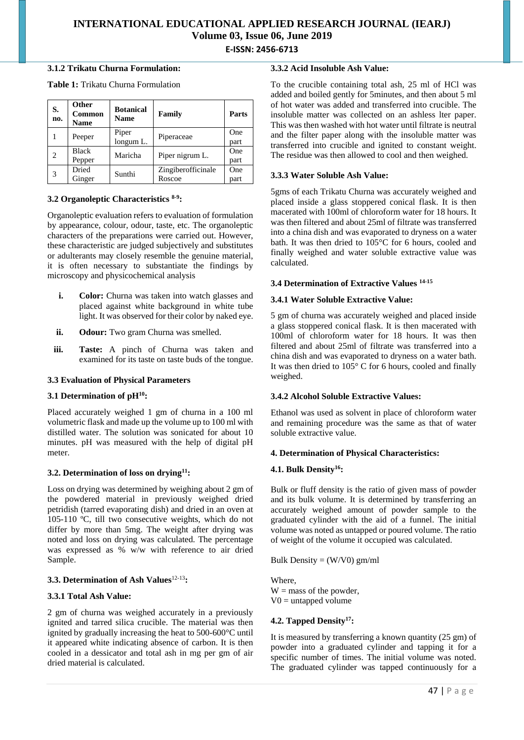#### **3.1.2 Trikatu Churna Formulation:**

**Table 1:** Trikatu Churna Formulation

| S.<br>no. | Other<br>Common<br><b>Name</b> | <b>Botanical</b><br><b>Name</b> | Family                       | Parts       |
|-----------|--------------------------------|---------------------------------|------------------------------|-------------|
|           | Peeper                         | Piper<br>longum L.              | Piperaceae                   | One<br>part |
| 2         | <b>Black</b><br>Pepper         | Maricha                         | Piper nigrum L.              | One<br>part |
| 3         | Dried<br>Ginger                | Sunthi                          | Zingiberofficinale<br>Roscoe | One<br>part |

# **3.2 Organoleptic Characteristics 8-9 :**

Organoleptic evaluation refers to evaluation of formulation by appearance, colour, odour, taste, etc. The organoleptic characters of the preparations were carried out. However, these characteristic are judged subjectively and substitutes or adulterants may closely resemble the genuine material, it is often necessary to substantiate the findings by microscopy and physicochemical analysis

- **i. Color:** Churna was taken into watch glasses and placed against white background in white tube light. It was observed for their color by naked eye.
- **ii. Odour:** Two gram Churna was smelled.
- **iii. Taste:** A pinch of Churna was taken and examined for its taste on taste buds of the tongue.

# **3.3 Evaluation of Physical Parameters**

# **3.1 Determination of pH<sup>10</sup>:**

Placed accurately weighed 1 gm of churna in a 100 ml volumetric flask and made up the volume up to 100 ml with distilled water. The solution was sonicated for about 10 minutes. pH was measured with the help of digital pH meter.

# **3.2. Determination of loss on drying<sup>11</sup>:**

Loss on drying was determined by weighing about 2 gm of the powdered material in previously weighed dried petridish (tarred evaporating dish) and dried in an oven at 105-110 ºC, till two consecutive weights, which do not differ by more than 5mg. The weight after drying was noted and loss on drying was calculated. The percentage was expressed as % w/w with reference to air dried Sample.

# **3.3. Determination of Ash Values**12-13**:**

# **3.3.1 Total Ash Value:**

2 gm of churna was weighed accurately in a previously ignited and tarred silica crucible. The material was then ignited by gradually increasing the heat to 500-600°C until it appeared white indicating absence of carbon. It is then cooled in a dessicator and total ash in mg per gm of air dried material is calculated.

#### **3.3.2 Acid Insoluble Ash Value:**

To the crucible containing total ash, 25 ml of HCl was added and boiled gently for 5minutes, and then about 5 ml of hot water was added and transferred into crucible. The insoluble matter was collected on an ashless lter paper. This was then washed with hot water until filtrate is neutral and the filter paper along with the insoluble matter was transferred into crucible and ignited to constant weight. The residue was then allowed to cool and then weighed.

# **3.3.3 Water Soluble Ash Value:**

5gms of each Trikatu Churna was accurately weighed and placed inside a glass stoppered conical flask. It is then macerated with 100ml of chloroform water for 18 hours. It was then filtered and about 25ml of filtrate was transferred into a china dish and was evaporated to dryness on a water bath. It was then dried to 105°C for 6 hours, cooled and finally weighed and water soluble extractive value was calculated.

# **3.4 Determination of Extractive Values 14-15**

# **3.4.1 Water Soluble Extractive Value:**

5 gm of churna was accurately weighed and placed inside a glass stoppered conical flask. It is then macerated with 100ml of chloroform water for 18 hours. It was then filtered and about 25ml of filtrate was transferred into a china dish and was evaporated to dryness on a water bath. It was then dried to 105° C for 6 hours, cooled and finally weighed.

# **3.4.2 Alcohol Soluble Extractive Values:**

Ethanol was used as solvent in place of chloroform water and remaining procedure was the same as that of water soluble extractive value.

# **4. Determination of Physical Characteristics:**

# **4.1. Bulk Density<sup>16</sup>:**

Bulk or fluff density is the ratio of given mass of powder and its bulk volume. It is determined by transferring an accurately weighed amount of powder sample to the graduated cylinder with the aid of a funnel. The initial volume was noted as untapped or poured volume. The ratio of weight of the volume it occupied was calculated.

Bulk Density =  $(W/V0)$  gm/ml

Where,  $W =$  mass of the powder,  $V0 =$  untapped volume

# **4.2. Tapped Density<sup>17</sup>:**

It is measured by transferring a known quantity (25 gm) of powder into a graduated cylinder and tapping it for a specific number of times. The initial volume was noted. The graduated cylinder was tapped continuously for a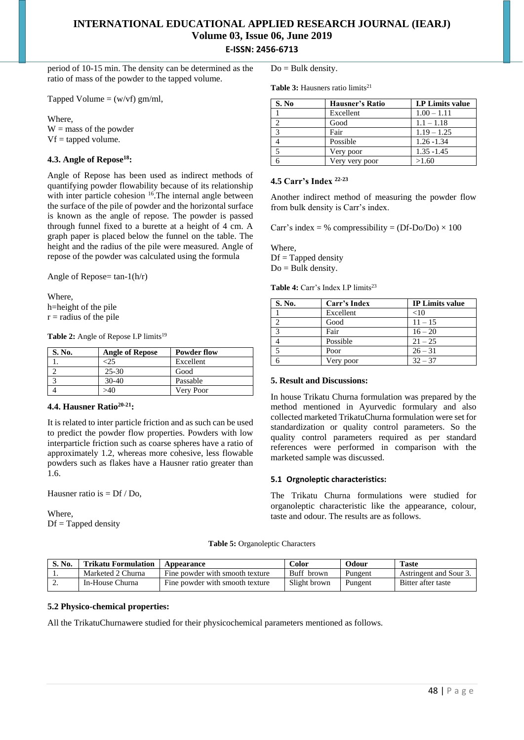period of 10-15 min. The density can be determined as the ratio of mass of the powder to the tapped volume.

Tapped Volume  $=$  (w/vf) gm/ml,

Where,

 $W =$  mass of the powder  $Vf =$  tapped volume.

# **4.3. Angle of Repose<sup>18</sup>:**

Angle of Repose has been used as indirect methods of quantifying powder flowability because of its relationship with inter particle cohesion <sup>16</sup>. The internal angle between the surface of the pile of powder and the horizontal surface is known as the angle of repose. The powder is passed through funnel fixed to a burette at a height of 4 cm. A graph paper is placed below the funnel on the table. The height and the radius of the pile were measured. Angle of repose of the powder was calculated using the formula

Angle of Repose=  $tan-1(h/r)$ 

Where, h=height of the pile  $r =$  radius of the pile

Table 2: Angle of Repose I.P limits<sup>19</sup>

| S. No. | <b>Angle of Repose</b> | <b>Powder flow</b> |
|--------|------------------------|--------------------|
|        |                        | Excellent          |
|        | $25 - 30$              | Good               |
|        | $30-40$                | Passable           |
|        | >40                    | Very Poor          |

# **4.4. Hausner Ratio20-21:**

It is related to inter particle friction and as such can be used to predict the powder flow properties. Powders with low interparticle friction such as coarse spheres have a ratio of approximately 1.2, whereas more cohesive, less flowable powders such as flakes have a Hausner ratio greater than 1.6.

Hausner ratio is  $= Df / Do$ .

Where,  $Df = Tapped density$   $Do = Bulk density$ .

Table 3: Hausners ratio limits<sup>21</sup>

| S. No         | <b>Hausner's Ratio</b> | <b>I.P Limits value</b> |
|---------------|------------------------|-------------------------|
|               | Excellent              | $1.00 - 1.11$           |
| $\mathcal{D}$ | Good                   | $1.1 - 1.18$            |
| $\mathcal{R}$ | Fair                   | $1.19 - 1.25$           |
|               | Possible               | $1.26 - 1.34$           |
| 5             | Very poor              | $1.35 - 1.45$           |
|               | Very very poor         | >1.60                   |

#### **4.5 Carr's Index 22-23**

Another indirect method of measuring the powder flow from bulk density is Carr's index.

Carr's index = % compressibility =  $(Df-Do/Do) \times 100$ 

Where,  $Df = Tapped density$  $Do =$  Bulk density.

Table 4: Carr's Index I.P limits<sup>23</sup>

| S. No.            | Carr's Index | <b>IP Limits value</b> |
|-------------------|--------------|------------------------|
|                   | Excellent    | <10                    |
|                   | Good         | $11 - 15$              |
| $\mathbf{\Omega}$ | Fair         | $16 - 20$              |
|                   | Possible     | $21 - 25$              |
|                   | Poor         | $26 - 31$              |
|                   | Very poor    | $32 - 37$              |

#### **5. Result and Discussions:**

In house Trikatu Churna formulation was prepared by the method mentioned in Ayurvedic formulary and also collected marketed TrikatuChurna formulation were set for standardization or quality control parameters. So the quality control parameters required as per standard references were performed in comparison with the marketed sample was discussed.

#### **5.1 Orgnoleptic characteristics:**

The Trikatu Churna formulations were studied for organoleptic characteristic like the appearance, colour, taste and odour. The results are as follows.

**Table 5:** Organoleptic Characters

| S. No. | <b>Trikatu Formulation</b> | Appearance                      | Color        | Odour   | <b>Taste</b>           |
|--------|----------------------------|---------------------------------|--------------|---------|------------------------|
|        | Marketed 2 Churna          | Fine powder with smooth texture | Buff brown   | Pungent | Astringent and Sour 3. |
| ـ ت    | In-House Churna            | Fine powder with smooth texture | Slight brown | Pungent | Bitter after taste     |

#### **5.2 Physico-chemical properties:**

All the TrikatuChurnawere studied for their physicochemical parameters mentioned as follows.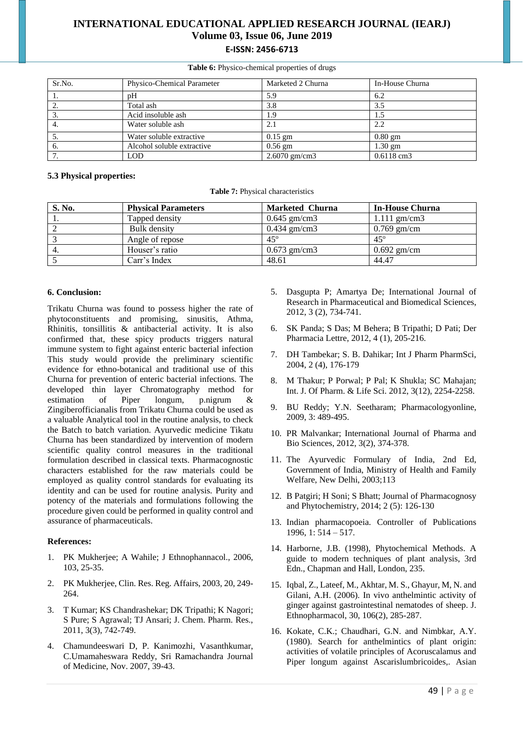**Table 6:** Physico-chemical properties of drugs

| Sr.No. | Physico-Chemical Parameter | Marketed 2 Churna | In-House Churna |
|--------|----------------------------|-------------------|-----------------|
| -1.    | pH                         | 5.9               | 6.2             |
| 2.     | Total ash                  | 3.8               | 3.5             |
|        | Acid insoluble ash         | 9.،               | 1.5             |
| 4.     | Water soluble ash          | 2.1               | 2.2             |
|        | Water soluble extractive   | $0.15$ gm         | $0.80$ gm       |
| -6.    | Alcohol soluble extractive | $0.56$ gm         | $1.30$ gm       |
|        | <b>LOD</b>                 | $2.6070$ gm/cm3   | $0.6118$ cm3    |

#### **5.3 Physical properties:**

**Table 7:** Physical characteristics

| S. No. | <b>Physical Parameters</b> | <b>Marketed Churna</b> | <b>In-House Churna</b> |
|--------|----------------------------|------------------------|------------------------|
|        | Tapped density             | $0.645$ gm/cm3         | $1.111$ gm/cm3         |
|        | Bulk density               | $0.434$ gm/cm3         | $0.769$ gm/cm          |
|        | Angle of repose            | $45^\circ$             | $45^\circ$             |
|        | Houser's ratio             | $0.673$ gm/cm3         | $0.692$ gm/cm          |
|        | Carr's Index               | 48.61                  | 44.47                  |

#### **6. Conclusion:**

Trikatu Churna was found to possess higher the rate of phytoconstituents and promising, sinusitis, Athma, Rhinitis, tonsillitis & antibacterial activity. It is also confirmed that, these spicy products triggers natural immune system to fight against enteric bacterial infection This study would provide the preliminary scientific evidence for ethno-botanical and traditional use of this Churna for prevention of enteric bacterial infections. The developed thin layer Chromatography method for estimation of Piper longum, p.nigrum & Zingiberofficianalis from Trikatu Churna could be used as a valuable Analytical tool in the routine analysis, to check the Batch to batch variation. Ayurvedic medicine Tikatu Churna has been standardized by intervention of modern scientific quality control measures in the traditional formulation described in classical texts. Pharmacognostic characters established for the raw materials could be employed as quality control standards for evaluating its identity and can be used for routine analysis. Purity and potency of the materials and formulations following the procedure given could be performed in quality control and assurance of pharmaceuticals.

#### **References:**

- 1. PK Mukherjee; A Wahile; J Ethnophannacol., 2006, 103, 25-35.
- 2. PK Mukherjee, Clin. Res. Reg. Affairs, 2003, 20, 249- 264.
- 3. T Kumar; KS Chandrashekar; DK Tripathi; K Nagori; S Pure; S Agrawal; TJ Ansari; J. Chem. Pharm. Res., 2011, 3(3), 742-749.
- 4. Chamundeeswari D, P. Kanimozhi, Vasanthkumar, C.Umamaheswara Reddy, Sri Ramachandra Journal of Medicine, Nov. 2007, 39-43.
- 5. Dasgupta P; Amartya De; International Journal of Research in Pharmaceutical and Biomedical Sciences, 2012, 3 (2), 734-741.
- 6. SK Panda; S Das; M Behera; B Tripathi; D Pati; Der Pharmacia Lettre, 2012, 4 (1), 205-216.
- 7. DH Tambekar; S. B. Dahikar; Int J Pharm PharmSci, 2004, 2 (4), 176-179
- 8. M Thakur; P Porwal; P Pal; K Shukla; SC Mahajan; Int. J. Of Pharm. & Life Sci. 2012, 3(12), 2254-2258.
- 9. BU Reddy; Y.N. Seetharam; Pharmacologyonline, 2009, 3: 489-495.
- 10. PR Malvankar; International Journal of Pharma and Bio Sciences, 2012, 3(2), 374-378.
- 11. The Ayurvedic Formulary of India, 2nd Ed, Government of India, Ministry of Health and Family Welfare, New Delhi, 2003;113
- 12. B Patgiri; H Soni; S Bhatt; Journal of Pharmacognosy and Phytochemistry, 2014; 2 (5): 126-130
- 13. Indian pharmacopoeia. Controller of Publications 1996, 1: 514 – 517.
- 14. Harborne, J.B. (1998), Phytochemical Methods. A guide to modern techniques of plant analysis, 3rd Edn., Chapman and Hall, London, 235.
- 15. Iqbal, Z., Lateef, M., Akhtar, M. S., Ghayur, M, N. and Gilani, A.H. (2006). In vivo anthelmintic activity of ginger against gastrointestinal nematodes of sheep. J. Ethnopharmacol, 30, 106(2), 285-287.
- 16. Kokate, C.K.; Chaudhari, G.N. and Nimbkar, A.Y. (1980). Search for anthelmintics of plant origin: activities of volatile principles of Acoruscalamus and Piper longum against Ascarislumbricoides,. Asian